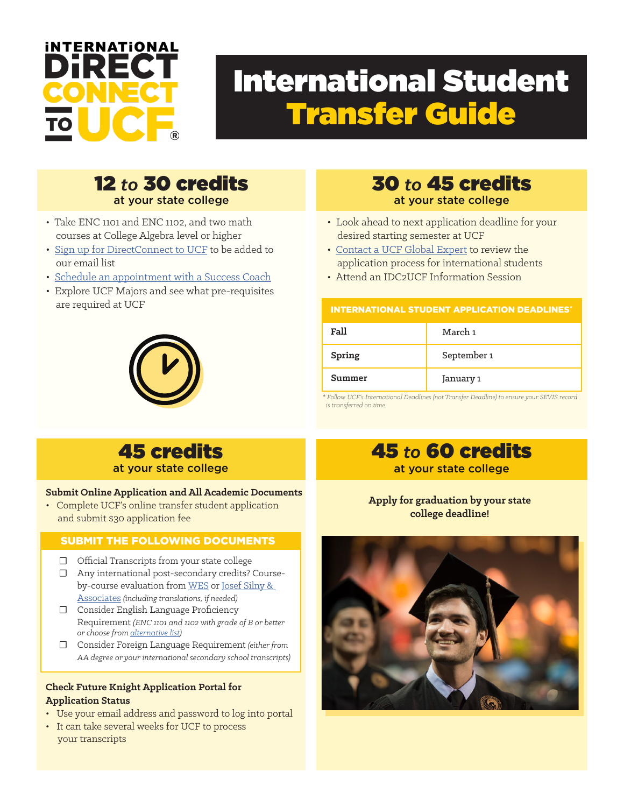

# International Student Transfer Guide

### 12 *to* 30 credits at your state college

- Take ENC 1101 and ENC 1102, and two math courses at College Algebra level or higher
- [Sign up for DirectConnect to UCF](https://directconnect.ucf.edu/sign-up/) to be added to our email list
- [Schedule an appointment with a Success Coach](https://directconnect.ucf.edu/success-coaches/)
- Explore UCF Majors and see what pre-requisites are required at UCF



## 30 *to* 45 credits at your state college

- Look ahead to next application deadline for your desired starting semester at UCF
- [Contact a UCF Global Expert](mailto:mailto:INTLRecruitment%40ucf.edu?subject=) to review the application process for international students
- Attend an IDC2UCF Information Session

### INTERNATIONAL STUDENT APPLICATION DEADLINES

| Fall   | March 1     |
|--------|-------------|
| Spring | September 1 |
| Summer | January 1   |

*\* Follow UCF's International Deadlines (not Transfer Deadline) to ensure your SEVIS record is transferred on time.*

## 45 credits at your state college

### **Submit Online Application and All Academic Documents**

• Complete UCF's online transfer student application and submit \$30 application fee

### SUBMIT THE FOLLOWING DOCUMENTS

- ☐ Official Transcripts from your state college
- ☐ Any international post-secondary credits? Courseby-course evaluation from [WES](https://www.wes.org/) or [Josef Silny &](https://www.jsilny.org/pdf/universityofcentralflorida-undergraduate.pdf)  [Associates](https://www.jsilny.org/pdf/universityofcentralflorida-undergraduate.pdf) *(including translations, if needed)*
- ☐ Consider English Language Proficiency Requirement *(ENC 1101 and 1102 with grade of B or better or choose from [alternative list](https://www.ucf.edu/admissions/undergraduate/international/))*
- ☐ Consider Foreign Language Requirement *(either from AA degree or your international secondary school transcripts)*

### **Check Future Knight Application Portal for Application Status**

- Use your email address and password to log into portal
- It can take several weeks for UCF to process your transcripts

## 45 *to* 60 credits

### at your state college

### **Apply for graduation by your state college deadline!**